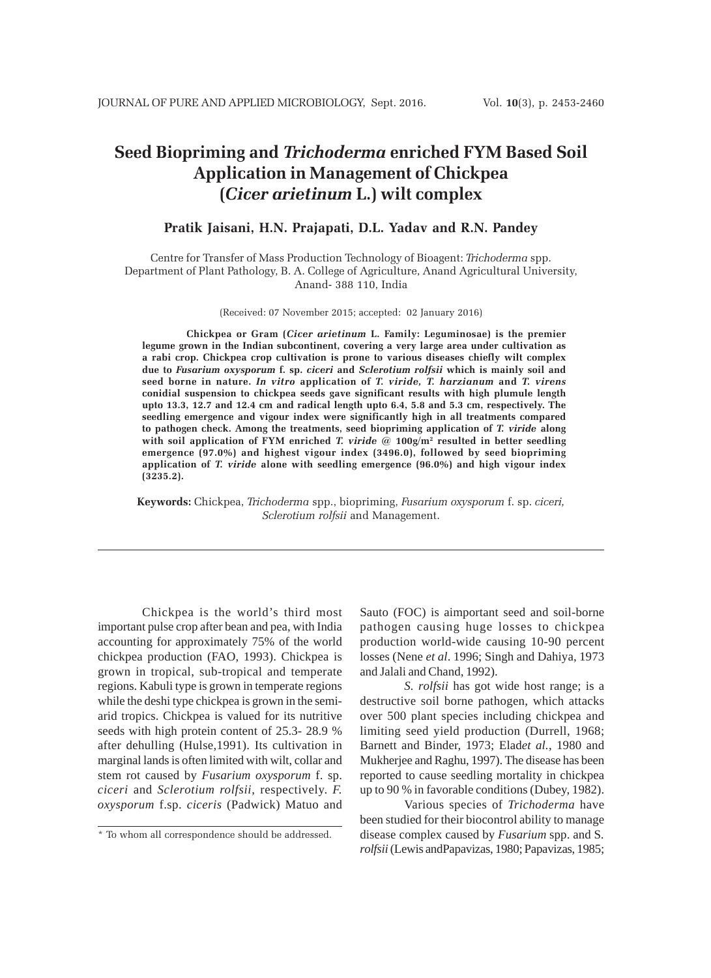# **Seed Biopriming and** *Trichoderma* **enriched FYM Based Soil Application in Management of Chickpea (***Cicer arietinum* **L.) wilt complex**

# **Pratik Jaisani, H.N. Prajapati, D.L. Yadav and R.N. Pandey**

Centre for Transfer of Mass Production Technology of Bioagent: *Trichoderma* spp. Department of Plant Pathology, B. A. College of Agriculture, Anand Agricultural University, Anand- 388 110, India

(Received: 07 November 2015; accepted: 02 January 2016)

**Chickpea or Gram (***Cicer arietinum* **L. Family: Leguminosae) is the premier legume grown in the Indian subcontinent, covering a very large area under cultivation as a rabi crop. Chickpea crop cultivation is prone to various diseases chiefly wilt complex due to** *Fusarium oxysporum* **f. sp.** *ciceri* **and** *Sclerotium rolfsii* **which is mainly soil and seed borne in nature.** *In vitro* **application of** *T. viride, T. harzianum* **and** *T. virens* **conidial suspension to chickpea seeds gave significant results with high plumule length upto 13.3, 12.7 and 12.4 cm and radical length upto 6.4, 5.8 and 5.3 cm, respectively. The seedling emergence and vigour index were significantly high in all treatments compared to pathogen check. Among the treatments, seed biopriming application of** *T. viride* **along with soil application of FYM enriched** *T. viride* **@ 100g/m2 resulted in better seedling emergence (97.0%) and highest vigour index (3496.0), followed by seed biopriming application of** *T. viride* **alone with seedling emergence (96.0%) and high vigour index (3235.2).**

**Keywords:** Chickpea, *Trichoderma* spp., biopriming, *Fusarium oxysporum* f. sp. *ciceri, Sclerotium rolfsii* and Management.

Chickpea is the world's third most important pulse crop after bean and pea, with India accounting for approximately 75% of the world chickpea production (FAO, 1993). Chickpea is grown in tropical, sub-tropical and temperate regions. Kabuli type is grown in temperate regions while the deshi type chickpea is grown in the semiarid tropics. Chickpea is valued for its nutritive seeds with high protein content of 25.3- 28.9 % after dehulling (Hulse,1991). Its cultivation in marginal lands is often limited with wilt, collar and stem rot caused by *Fusarium oxysporum* f. sp. *ciceri* and *Sclerotium rolfsii,* respectively. *F. oxysporum* f.sp. *ciceris* (Padwick) Matuo and Sauto (FOC) is aimportant seed and soil-borne pathogen causing huge losses to chickpea production world-wide causing 10-90 percent losses (Nene *et al*. 1996; Singh and Dahiya, 1973 and Jalali and Chand, 1992).

*S. rolfsii* has got wide host range; is a destructive soil borne pathogen, which attacks over 500 plant species including chickpea and limiting seed yield production (Durrell, 1968; Barnett and Binder, 1973; Elad*et al.*, 1980 and Mukherjee and Raghu, 1997). The disease has been reported to cause seedling mortality in chickpea up to 90 % in favorable conditions (Dubey, 1982).

Various species of *Trichoderma* have been studied for their biocontrol ability to manage disease complex caused by *Fusarium* spp. and S*. rolfsii* (Lewis andPapavizas, 1980; Papavizas, 1985;

<sup>\*</sup> To whom all correspondence should be addressed.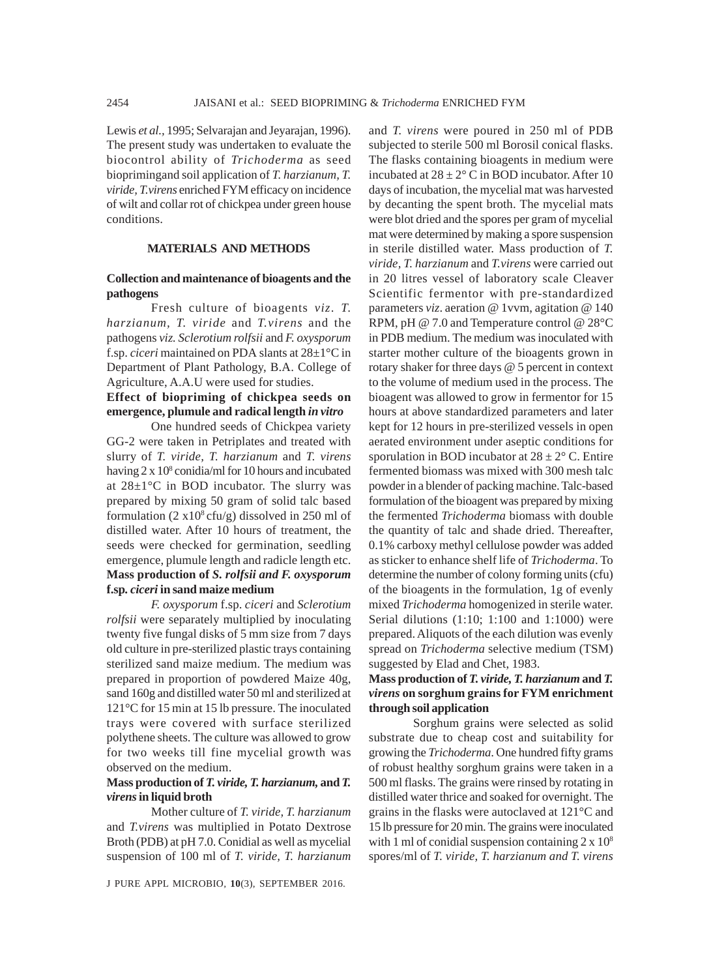Lewis *et al.*, 1995; Selvarajan and Jeyarajan, 1996). The present study was undertaken to evaluate the biocontrol ability of *Trichoderma* as seed bioprimingand soil application of *T. harzianum, T. viride, T.virens* enriched FYM efficacy on incidence of wilt and collar rot of chickpea under green house conditions.

#### **MATERIALS AND METHODS**

#### **Collection and maintenance of bioagents and the pathogens**

Fresh culture of bioagents *viz*. *T. harzianum, T. viride* and *T.virens* and the pathogens *viz. Sclerotium rolfsii* and *F. oxysporum* f.sp. *ciceri* maintained on PDA slants at 28±1°C in Department of Plant Pathology, B.A. College of Agriculture, A.A.U were used for studies.

## **Effect of biopriming of chickpea seeds on emergence, plumule and radical length** *in vitro*

One hundred seeds of Chickpea variety GG-2 were taken in Petriplates and treated with slurry of *T. viride, T. harzianum* and *T. virens* having 2 x 10<sup>8</sup> conidia/ml for 10 hours and incubated at 28±1°C in BOD incubator. The slurry was prepared by mixing 50 gram of solid talc based formulation  $(2 \times 10^8 \text{ cfty/g})$  dissolved in 250 ml of distilled water. After 10 hours of treatment, the seeds were checked for germination, seedling emergence, plumule length and radicle length etc. **Mass production of** *S. rolfsii and F. oxysporum* **f.sp***. ciceri* **in sand maize medium**

*F. oxysporum* f.sp. *ciceri* and *Sclerotium rolfsii* were separately multiplied by inoculating twenty five fungal disks of 5 mm size from 7 days old culture in pre-sterilized plastic trays containing sterilized sand maize medium. The medium was prepared in proportion of powdered Maize 40g, sand 160g and distilled water 50 ml and sterilized at 121°C for 15 min at 15 lb pressure. The inoculated trays were covered with surface sterilized polythene sheets. The culture was allowed to grow for two weeks till fine mycelial growth was observed on the medium.

#### **Mass production of** *T. viride, T. harzianum,* **and** *T. virens* **in liquid broth**

Mother culture of *T. viride, T. harzianum* and *T.virens* was multiplied in Potato Dextrose Broth (PDB) at pH 7.0. Conidial as well as mycelial suspension of 100 ml of *T. viride, T. harzianum*

and *T. virens* were poured in 250 ml of PDB subjected to sterile 500 ml Borosil conical flasks. The flasks containing bioagents in medium were incubated at  $28 \pm 2^{\circ}$  C in BOD incubator. After 10 days of incubation, the mycelial mat was harvested by decanting the spent broth. The mycelial mats were blot dried and the spores per gram of mycelial mat were determined by making a spore suspension in sterile distilled water. Mass production of *T. viride, T. harzianum* and *T.virens* were carried out in 20 litres vessel of laboratory scale Cleaver Scientific fermentor with pre-standardized parameters *viz*. aeration @ 1vvm, agitation @ 140 RPM, pH @ 7.0 and Temperature control @ 28°C in PDB medium. The medium was inoculated with starter mother culture of the bioagents grown in rotary shaker for three days @ 5 percent in context to the volume of medium used in the process. The bioagent was allowed to grow in fermentor for 15 hours at above standardized parameters and later kept for 12 hours in pre-sterilized vessels in open aerated environment under aseptic conditions for sporulation in BOD incubator at  $28 \pm 2^{\circ}$  C. Entire fermented biomass was mixed with 300 mesh talc powder in a blender of packing machine. Talc-based formulation of the bioagent was prepared by mixing the fermented *Trichoderma* biomass with double the quantity of talc and shade dried. Thereafter, 0.1% carboxy methyl cellulose powder was added as sticker to enhance shelf life of *Trichoderma*. To determine the number of colony forming units (cfu) of the bioagents in the formulation, 1g of evenly mixed *Trichoderma* homogenized in sterile water. Serial dilutions (1:10; 1:100 and 1:1000) were prepared. Aliquots of the each dilution was evenly spread on *Trichoderma* selective medium (TSM) suggested by Elad and Chet, 1983.

# **Mass production of** *T. viride, T. harzianum* **and** *T. virens* **on sorghum grains for FYM enrichment through soil application**

Sorghum grains were selected as solid substrate due to cheap cost and suitability for growing the *Trichoderma*. One hundred fifty grams of robust healthy sorghum grains were taken in a 500 ml flasks. The grains were rinsed by rotating in distilled water thrice and soaked for overnight. The grains in the flasks were autoclaved at 121°C and 15 lb pressure for 20 min. The grains were inoculated with 1 ml of conidial suspension containing  $2 \times 10^8$ spores/ml of *T. viride, T. harzianum and T. virens*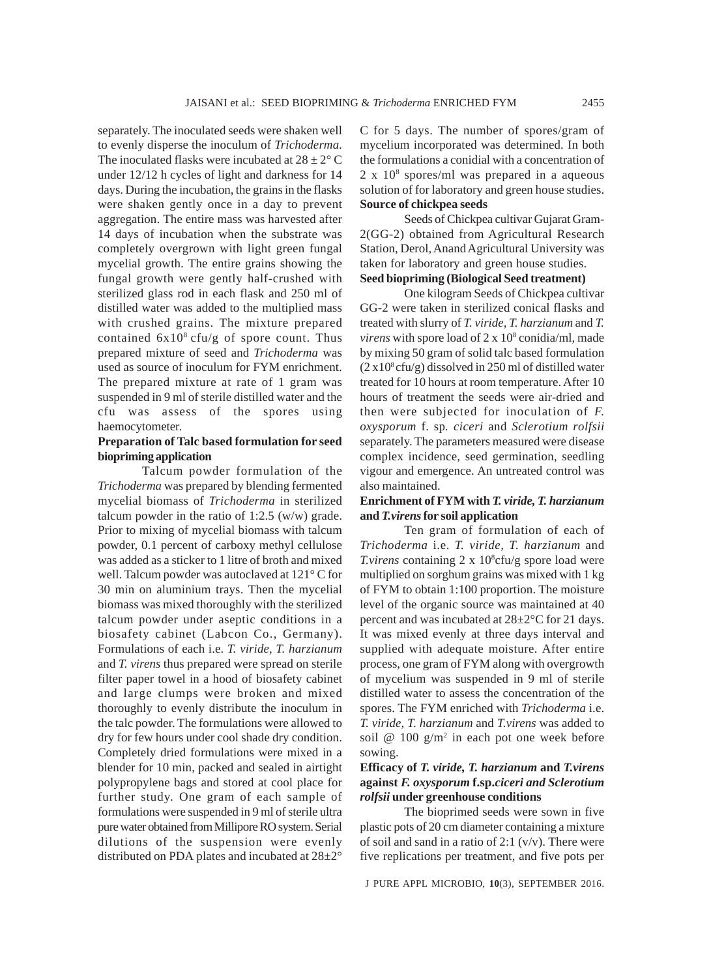separately. The inoculated seeds were shaken well to evenly disperse the inoculum of *Trichoderma*. The inoculated flasks were incubated at  $28 \pm 2^{\circ}$  C under 12/12 h cycles of light and darkness for 14 days. During the incubation, the grains in the flasks were shaken gently once in a day to prevent aggregation. The entire mass was harvested after 14 days of incubation when the substrate was completely overgrown with light green fungal mycelial growth. The entire grains showing the fungal growth were gently half-crushed with sterilized glass rod in each flask and 250 ml of distilled water was added to the multiplied mass with crushed grains. The mixture prepared contained  $6x10^8$  cfu/g of spore count. Thus prepared mixture of seed and *Trichoderma* was used as source of inoculum for FYM enrichment. The prepared mixture at rate of 1 gram was suspended in 9 ml of sterile distilled water and the cfu was assess of the spores using haemocytometer.

# **Preparation of Talc based formulation for seed biopriming application**

Talcum powder formulation of the *Trichoderma* was prepared by blending fermented mycelial biomass of *Trichoderma* in sterilized talcum powder in the ratio of 1:2.5 (w/w) grade. Prior to mixing of mycelial biomass with talcum powder, 0.1 percent of carboxy methyl cellulose was added as a sticker to 1 litre of broth and mixed well. Talcum powder was autoclaved at 121° C for 30 min on aluminium trays. Then the mycelial biomass was mixed thoroughly with the sterilized talcum powder under aseptic conditions in a biosafety cabinet (Labcon Co., Germany). Formulations of each i.e. *T. viride, T. harzianum* and *T. virens* thus prepared were spread on sterile filter paper towel in a hood of biosafety cabinet and large clumps were broken and mixed thoroughly to evenly distribute the inoculum in the talc powder. The formulations were allowed to dry for few hours under cool shade dry condition. Completely dried formulations were mixed in a blender for 10 min, packed and sealed in airtight polypropylene bags and stored at cool place for further study. One gram of each sample of formulations were suspended in 9 ml of sterile ultra pure water obtained from Millipore RO system. Serial dilutions of the suspension were evenly distributed on PDA plates and incubated at 28±2°

C for 5 days. The number of spores/gram of mycelium incorporated was determined. In both the formulations a conidial with a concentration of 2 x 108 spores/ml was prepared in a aqueous solution of for laboratory and green house studies. **Source of chickpea seeds**

Seeds of Chickpea cultivar Gujarat Gram-2(GG-2) obtained from Agricultural Research Station, Derol, Anand Agricultural University was taken for laboratory and green house studies. **Seed biopriming (Biological Seed treatment)**

One kilogram Seeds of Chickpea cultivar GG-2 were taken in sterilized conical flasks and treated with slurry of *T. viride, T. harzianum* and *T.* virens with spore load of 2 x 10<sup>8</sup> conidia/ml, made by mixing 50 gram of solid talc based formulation  $(2 \times 10^8 \text{c}$ fu/g) dissolved in 250 ml of distilled water treated for 10 hours at room temperature. After 10 hours of treatment the seeds were air-dried and then were subjected for inoculation of *F. oxysporum* f. sp*. ciceri* and *Sclerotium rolfsii* separately. The parameters measured were disease complex incidence, seed germination, seedling vigour and emergence. An untreated control was also maintained.

# **Enrichment of FYM with** *T. viride, T. harzianum* **and** *T.virens* **for soil application**

Ten gram of formulation of each of *Trichoderma* i.e. *T. viride, T. harzianum* and *T.virens* containing  $2 \times 10^8$ cfu/g spore load were multiplied on sorghum grains was mixed with 1 kg of FYM to obtain 1:100 proportion. The moisture level of the organic source was maintained at 40 percent and was incubated at 28±2°C for 21 days. It was mixed evenly at three days interval and supplied with adequate moisture. After entire process, one gram of FYM along with overgrowth of mycelium was suspended in 9 ml of sterile distilled water to assess the concentration of the spores. The FYM enriched with *Trichoderma* i.e. *T. viride, T. harzianum* and *T.virens* was added to soil @  $100 \text{ g/m}^2$  in each pot one week before sowing.

# **Efficacy of** *T. viride, T. harzianum* **and** *T.virens* **against** *F. oxysporum* **f.sp.***ciceri and Sclerotium rolfsii* **under greenhouse conditions**

The bioprimed seeds were sown in five plastic pots of 20 cm diameter containing a mixture of soil and sand in a ratio of 2:1  $(v/v)$ . There were five replications per treatment, and five pots per

J PURE APPL MICROBIO*,* **10**(3), SEPTEMBER 2016.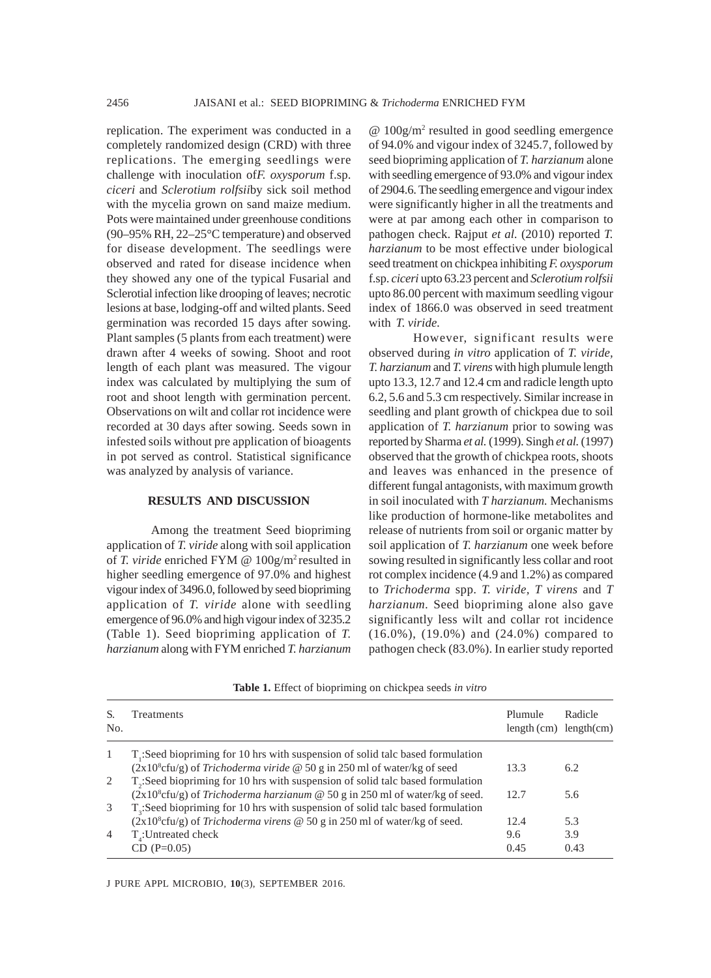replication. The experiment was conducted in a completely randomized design (CRD) with three replications. The emerging seedlings were challenge with inoculation of*F. oxysporum* f.sp. *ciceri* and *Sclerotium rolfsii*by sick soil method with the mycelia grown on sand maize medium. Pots were maintained under greenhouse conditions (90–95% RH, 22–25°C temperature) and observed for disease development. The seedlings were observed and rated for disease incidence when they showed any one of the typical Fusarial and Sclerotial infection like drooping of leaves; necrotic lesions at base, lodging-off and wilted plants. Seed germination was recorded 15 days after sowing. Plant samples (5 plants from each treatment) were drawn after 4 weeks of sowing. Shoot and root length of each plant was measured. The vigour index was calculated by multiplying the sum of root and shoot length with germination percent. Observations on wilt and collar rot incidence were recorded at 30 days after sowing. Seeds sown in infested soils without pre application of bioagents in pot served as control. Statistical significance was analyzed by analysis of variance.

#### **RESULTS AND DISCUSSION**

Among the treatment Seed biopriming application of *T. viride* along with soil application of *T. viride* enriched FYM @ 100g/m2 resulted in higher seedling emergence of 97.0% and highest vigour index of 3496.0, followed by seed biopriming application of *T. viride* alone with seedling emergence of 96.0% and high vigour index of 3235.2 (Table 1). Seed biopriming application of *T. harzianum* along with FYM enriched *T. harzianum*

@ 100g/m2 resulted in good seedling emergence of 94.0% and vigour index of 3245.7, followed by seed biopriming application of *T. harzianum* alone with seedling emergence of 93.0% and vigour index of 2904.6. The seedling emergence and vigour index were significantly higher in all the treatments and were at par among each other in comparison to pathogen check. Rajput *et al.* (2010) reported *T. harzianum* to be most effective under biological seed treatment on chickpea inhibiting *F. oxysporum* f.sp. *ciceri* upto 63.23 percent and *Sclerotium rolfsii* upto 86.00 percent with maximum seedling vigour index of 1866.0 was observed in seed treatment with *T. viride.*

However, significant results were observed during *in vitro* application of *T. viride, T. harzianum* and *T. virens* with high plumule length upto 13.3, 12.7 and 12.4 cm and radicle length upto 6.2, 5.6 and 5.3 cm respectively. Similar increase in seedling and plant growth of chickpea due to soil application of *T. harzianum* prior to sowing was reported by Sharma *et al.* (1999). Singh *et al.* (1997) observed that the growth of chickpea roots, shoots and leaves was enhanced in the presence of different fungal antagonists, with maximum growth in soil inoculated with *T harzianum.* Mechanisms like production of hormone-like metabolites and release of nutrients from soil or organic matter by soil application of *T. harzianum* one week before sowing resulted in significantly less collar and root rot complex incidence (4.9 and 1.2%) as compared to *Trichoderma* spp. *T. viride, T virens* and *T harzianum.* Seed biopriming alone also gave significantly less wilt and collar rot incidence (16.0%), (19.0%) and (24.0%) compared to pathogen check (83.0%). In earlier study reported

|  |  |  | Table 1. Effect of biopriming on chickpea seeds in vitro |  |
|--|--|--|----------------------------------------------------------|--|
|--|--|--|----------------------------------------------------------|--|

| No.            | <b>Treatments</b>                                                                            | Plumule<br>$length(cm)$ length $(cm)$ | Radicle |
|----------------|----------------------------------------------------------------------------------------------|---------------------------------------|---------|
| -1             | T.: Seed biopriming for 10 hrs with suspension of solid talc based formulation               |                                       |         |
|                | $(2x108cfu/g)$ of <i>Trichoderma viride</i> @ 50 g in 250 ml of water/kg of seed             | 13.3                                  | 6.2     |
| 2              | T <sub>2</sub> :Seed biopriming for 10 hrs with suspension of solid talc based formulation   |                                       |         |
|                | $(2x108cfu/g)$ of <i>Trichoderma harzianum</i> @ 50 g in 250 ml of water/kg of seed.         | 12.7                                  | 5.6     |
| 3              | $T3$ :Seed biopriming for 10 hrs with suspension of solid talc based formulation             |                                       |         |
|                | (2x10 <sup>8</sup> cfu/g) of <i>Trichoderma virens</i> @ 50 g in 250 ml of water/kg of seed. | 12.4                                  | 5.3     |
| $\overline{4}$ | T:Untreated check                                                                            | 9.6                                   | 3.9     |
|                | $CD (P=0.05)$                                                                                | 0.45                                  | 0.43    |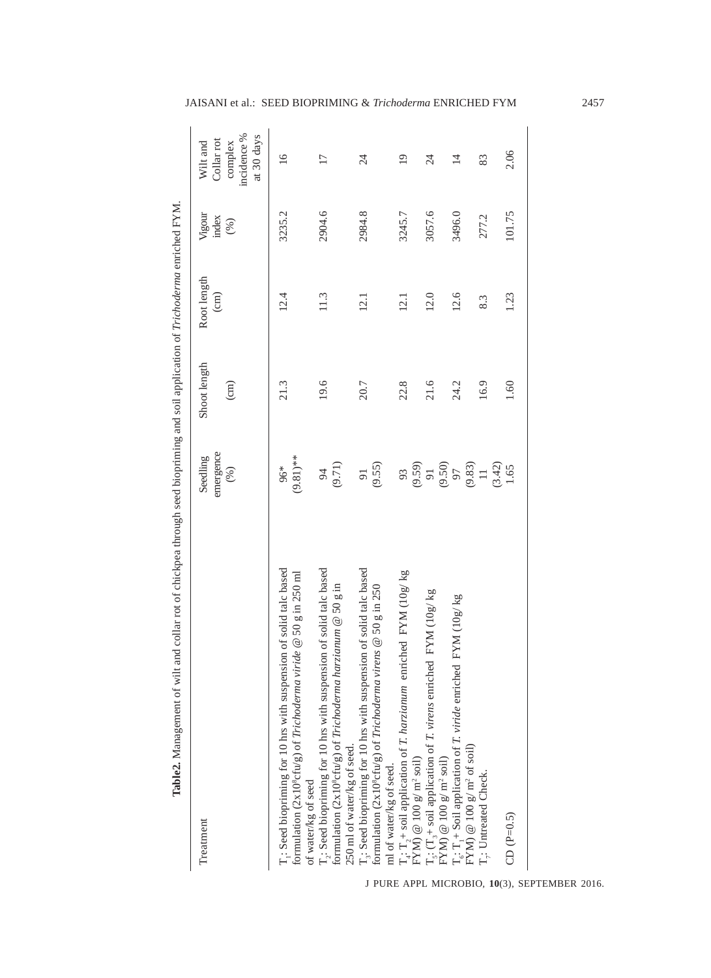| Table2. Management of wilt and collar rot of chickpea through seed biopriming and soil application of Trichoderma enriched FYM.                                                                          |                                                                 |                                 |                                |                        |                                                  |
|----------------------------------------------------------------------------------------------------------------------------------------------------------------------------------------------------------|-----------------------------------------------------------------|---------------------------------|--------------------------------|------------------------|--------------------------------------------------|
| Treatment                                                                                                                                                                                                | emergence<br>Seedling<br>(%)                                    | Shoot length<br>$\binom{cm}{c}$ | Root length<br>$\binom{cm}{c}$ | Vigour<br>index<br>(%) | incidence %<br>Collar rot<br>complex<br>Wilt and |
|                                                                                                                                                                                                          |                                                                 |                                 |                                |                        | at 30 days                                       |
| : Seed biopriming for 10 hrs with suspension of solid talc based<br>formulation (2x10 $^{\circ}$ cfu/g) of Trichoderma viride @ 50 g in 250 ml                                                           | $(9.81)$ **<br>96*                                              | 21.3                            | 12.4                           | 3235.2                 | 16                                               |
| T <sub>2</sub> : Seed biopriming for 10 hrs with suspension of solid talc based<br>formulation (2x10°cfu/g) of Trichoderma harzianum @ 50 g in<br>250 ml of water/kg of seed.<br>of water/kg of seed     | (9.71)<br>94                                                    | 19.6                            | 11.3                           | 2904.6                 | $\overline{17}$                                  |
| ; Seed biopriming for 10 hrs with suspension of solid talc based<br>formulation ( $2 \times 10^8$ cfu/g) of Trichoderma virens @ 50 g in 250                                                             | (9.55)<br>$\overline{9}$                                        | 20.7                            | 12.1                           | 2984.8                 | $\overline{24}$                                  |
| enriched FYM (10g/kg<br>$T_4: T_2 + \text{solid application of } T.$ <i>harzianum</i> (FYM) @ 100 g/ m <sup>2</sup> soil)<br>ml of water/kg of seed.                                                     |                                                                 | 22.8                            | 12.1                           | 3245.7                 | $\overline{19}$                                  |
|                                                                                                                                                                                                          | 93<br>$(9.59)$<br>$91$<br>$97$<br>$97$<br>$97$<br>$983$<br>$11$ | 21.6                            | 12.0                           | 3057.6                 | $\overline{24}$                                  |
| $T_{\rm s}$ : $(T_{\rm s} +$ soil application of <i>T. virens</i> emiched FYM (10g/ kg FYM) @ 100 g/ m <sup>2</sup> soil)<br>FYM) @ 100 g/ m <sup>2</sup> soil)<br>FYM) @ 100 g/ m <sup>2</sup> of soil) |                                                                 | 24.2                            | 12.6                           | 3496.0                 | $\overline{4}$                                   |
| $T_{7}$ : Untreated Check.                                                                                                                                                                               |                                                                 | 16.9                            | 8.3                            | 277.2                  | 83                                               |
| CD $(P=0.5)$                                                                                                                                                                                             | $(3.42)$<br>1.65                                                | 1.60                            | 1.23                           | 101.75                 | 2.06                                             |

J PURE APPL MICROBIO*,* **10**(3), SEPTEMBER 2016.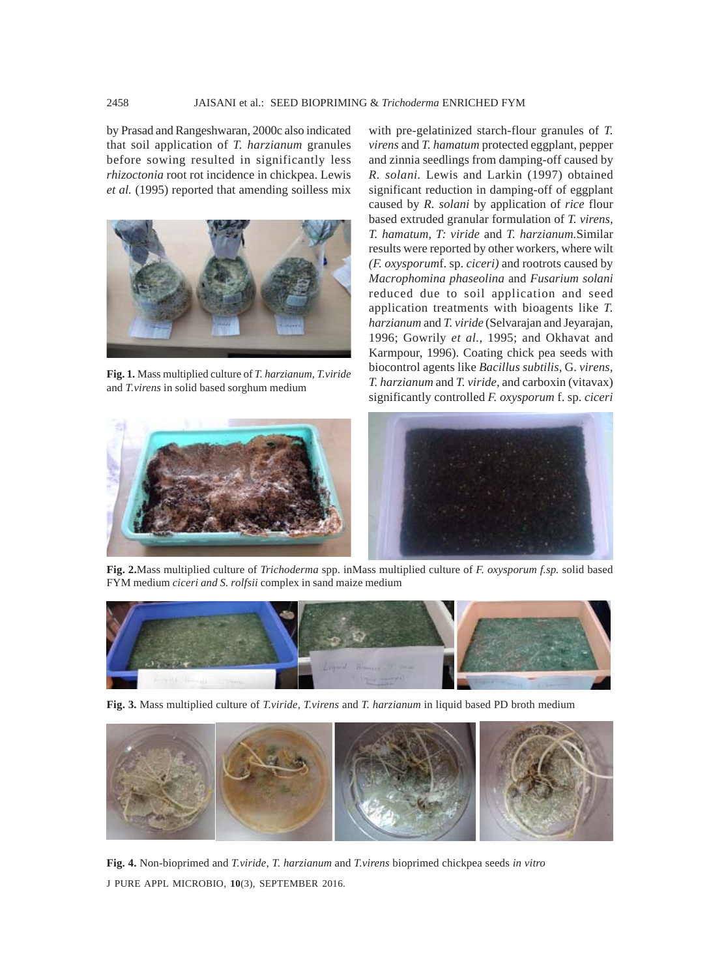by Prasad and Rangeshwaran, 2000c also indicated that soil application of *T. harzianum* granules before sowing resulted in significantly less *rhizoctonia* root rot incidence in chickpea. Lewis *et al.* (1995) reported that amending soilless mix



**Fig. 1.** Mass multiplied culture of *T. harzianum, T.viride* and *T.virens* in solid based sorghum medium

with pre-gelatinized starch-flour granules of *T. virens* and *T. hamatum* protected eggplant, pepper and zinnia seedlings from damping-off caused by *R. solani.* Lewis and Larkin (1997) obtained significant reduction in damping-off of eggplant caused by *R. solani* by application of *rice* flour based extruded granular formulation of *T. virens, T. hamatum, T: viride* and *T. harzianum.*Similar results were reported by other workers, where wilt *(F. oxysporum*f. sp. *ciceri)* and rootrots caused by *Macrophomina phaseolina* and *Fusarium solani* reduced due to soil application and seed application treatments with bioagents like *T. harzianum* and *T. viride* (Selvarajan and Jeyarajan, 1996; Gowrily *et al.,* 1995; and Okhavat and Karmpour, 1996). Coating chick pea seeds with biocontrol agents like *Bacillus subtilis,* G. *virens, T. harzianum* and *T. viride,* and carboxin (vitavax) significantly controlled *F. oxysporum* f. sp. *ciceri*



**Fig. 2.**Mass multiplied culture of *Trichoderma* spp. inMass multiplied culture of *F. oxysporum f.sp.* solid based FYM medium *ciceri and S. rolfsii* complex in sand maize medium



**Fig. 3.** Mass multiplied culture of *T.viride, T.virens* and *T. harzianum* in liquid based PD broth medium



J PURE APPL MICROBIO*,* **10**(3), SEPTEMBER 2016. **Fig. 4.** Non-bioprimed and *T.viride, T. harzianum* and *T.virens* bioprimed chickpea seeds *in vitro*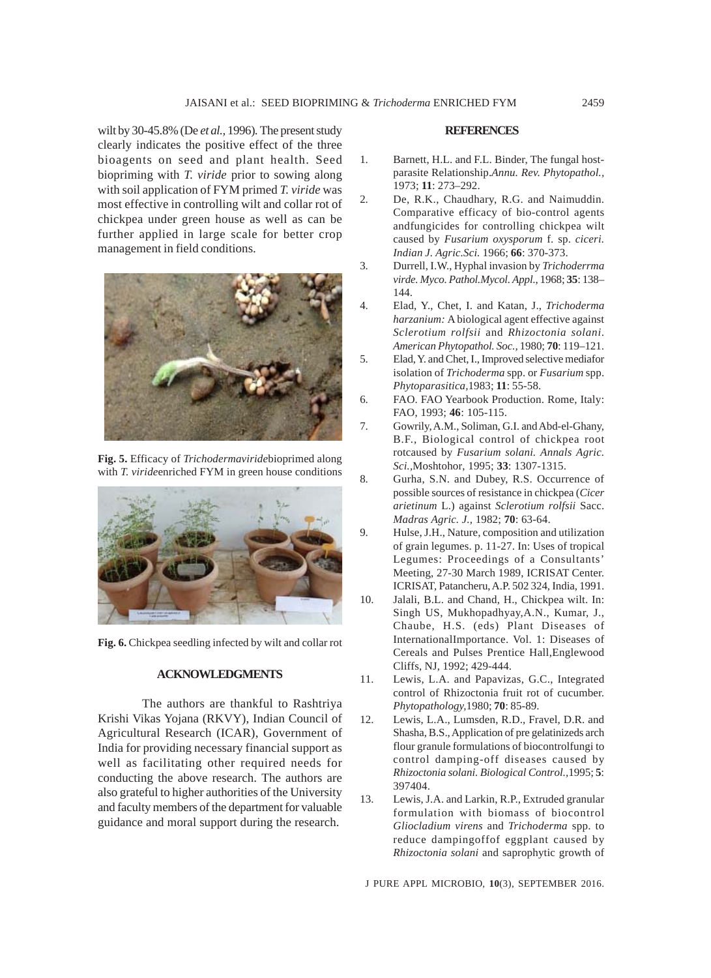wilt by 30-45.8% (De *et al.,* 1996)*.* The present study clearly indicates the positive effect of the three bioagents on seed and plant health. Seed biopriming with *T. viride* prior to sowing along with soil application of FYM primed *T. viride* was most effective in controlling wilt and collar rot of chickpea under green house as well as can be further applied in large scale for better crop management in field conditions.



**Fig. 5.** Efficacy of *Trichodermaviride*bioprimed along with *T. viride*enriched FYM in green house conditions



**Fig. 6.** Chickpea seedling infected by wilt and collar rot

## **ACKNOWLEDGMENTS**

The authors are thankful to Rashtriya Krishi Vikas Yojana (RKVY), Indian Council of Agricultural Research (ICAR), Government of India for providing necessary financial support as well as facilitating other required needs for conducting the above research. The authors are also grateful to higher authorities of the University and faculty members of the department for valuable guidance and moral support during the research.

#### **REFERENCES**

- 1. Barnett, H.L. and F.L. Binder, The fungal hostparasite Relationship.*Annu. Rev. Phytopathol.,* 1973; **11**: 273–292.
- 2. De, R.K., Chaudhary, R.G. and Naimuddin. Comparative efficacy of bio-control agents andfungicides for controlling chickpea wilt caused by *Fusarium oxysporum* f. sp. *ciceri. Indian J. Agric.Sci.* 1966; **66**: 370-373.
- 3. Durrell, I.W., Hyphal invasion by *Trichoderrma virde. Myco. Pathol.Mycol. Appl*., 1968; **35**: 138– 144.
- 4. Elad, Y., Chet, I. and Katan, J., *Trichoderma harzanium:* A biological agent effective against *Sclerotium rolfsii* and *Rhizoctonia solani*. *American Phytopathol. Soc.,* 1980; **70**: 119–121.
- 5. Elad, Y. and Chet, I., Improved selective mediafor isolation of *Trichoderma* spp. or *Fusarium* spp. *Phytoparasitica,*1983; **11**: 55-58.
- 6. FAO. FAO Yearbook Production. Rome, Italy: FAO, 1993; **46**: 105-115.
- 7. Gowrily, A.M., Soliman, G.I. and Abd-el-Ghany, B.F., Biological control of chickpea root rotcaused by *Fusarium solani. Annals Agric. Sci.,*Moshtohor, 1995; **33**: 1307-1315.
- 8. Gurha, S.N. and Dubey, R.S. Occurrence of possible sources of resistance in chickpea (*Cicer arietinum* L.) against *Sclerotium rolfsii* Sacc. *Madras Agric. J.,* 1982; **70**: 63-64.
- 9. Hulse, J.H., Nature, composition and utilization of grain legumes. p. 11-27. In: Uses of tropical Legumes: Proceedings of a Consultants' Meeting, 27-30 March 1989, ICRISAT Center. ICRISAT, Patancheru, A.P. 502 324, India, 1991.
- 10. Jalali, B.L. and Chand, H., Chickpea wilt. In: Singh US, Mukhopadhyay,A.N., Kumar, J., Chaube, H.S. (eds) Plant Diseases of InternationalImportance. Vol. 1: Diseases of Cereals and Pulses Prentice Hall,Englewood Cliffs, NJ, 1992; 429-444.
- 11. Lewis, L.A. and Papavizas, G.C., Integrated control of Rhizoctonia fruit rot of cucumber. *Phytopathology,*1980; **70**: 85-89.
- 12. Lewis, L.A., Lumsden, R.D., Fravel, D.R. and Shasha, B.S., Application of pre gelatinizeds arch flour granule formulations of biocontrolfungi to control damping-off diseases caused by *Rhizoctonia solani. Biological Control.,*1995; **5**: 397404.
- 13. Lewis, J.A. and Larkin, R.P., Extruded granular formulation with biomass of biocontrol *Gliocladium virens* and *Trichoderma* spp. to reduce dampingoffof eggplant caused by *Rhizoctonia solani* and saprophytic growth of

J PURE APPL MICROBIO*,* **10**(3), SEPTEMBER 2016.